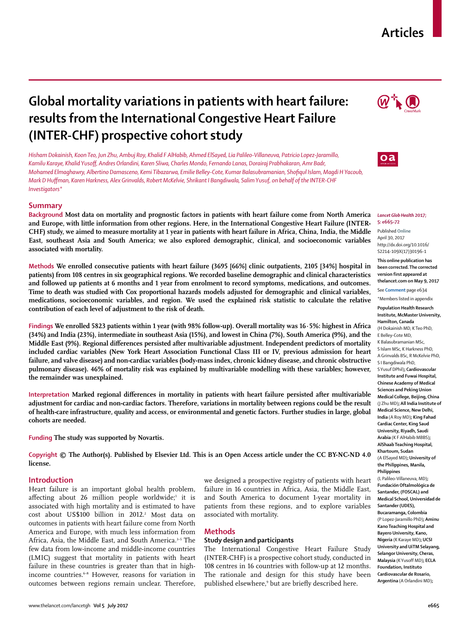## **Articles**

# **Global mortality variations in patients with heart failure: results from the International Congestive Heart Failure (INTER-CHF) prospective cohort study**

*Hisham Dokainish, Koon Teo, Jun Zhu, Ambuj Roy, Khalid F AlHabib, Ahmed ElSayed, Lia Palileo-Villaneuva, Patricio Lopez-Jaramillo, Kamilu Karaye, Khalid Yusoff, Andres Orlandini, Karen Sliwa, Charles Mondo, Fernando Lanas, Dorairaj Prabhakaran, Amr Badr, Mohamed Elmaghawry, Albertino Damasceno, Kemi Tibazarwa, Emilie Belley-Cote, Kumar Balasubramanian, Shofiqul Islam, Magdi H Yacoub, Mark D Huffman, Karen Harkness, Alex Grinvalds, Robert McKelvie, Shrikant I Bangdiwala, Salim Yusuf, on behalf of the INTER-CHF Investigators\** 

## **Summary**

**Background Most data on mortality and prognostic factors in patients with heart failure come from North America and Europe, with little information from other regions. Here, in the International Congestive Heart Failure (INTER-CHF) study, we aimed to measure mortality at 1 year in patients with heart failure in Africa, China, India, the Middle East, southeast Asia and South America; we also explored demographic, clinical, and socioeconomic variables associated with mortality.** 

**Methods We enrolled consecutive patients with heart failure (3695 [66%] clinic outpatients, 2105 [34%] hospital in patients) from 108 centres in six geographical regions. We recorded baseline demographic and clinical characteristics and followed up patients at 6 months and 1 year from enrolment to record symptoms, medications, and outcomes. Time to death was studied with Cox proportional hazards models adjusted for demographic and clinical variables, medications, socioeconomic variables, and region. We used the explained risk statistic to calculate the relative contribution of each level of adjustment to the risk of death.**

**Findings We enrolled 5823 patients within 1 year (with 98% follow-up). Overall mortality was 16·5%: highest in Africa (34%) and India (23%), intermediate in southeast Asia (15%), and lowest in China (7%), South America (9%), and the Middle East (9%). Regional differences persisted after multivariable adjustment. Independent predictors of mortality included cardiac variables (New York Heart Association Functional Class III or IV, previous admission for heart failure, and valve disease) and non-cardiac variables (body-mass index, chronic kidney disease, and chronic obstructive pulmonary disease). 46% of mortality risk was explained by multivariable modelling with these variables; however, the remainder was unexplained.** 

**Interpretation Marked regional differences in mortality in patients with heart failure persisted after multivariable adjustment for cardiac and non-cardiac factors. Therefore, variations in mortality between regions could be the result of health-care infrastructure, quality and access, or environmental and genetic factors. Further studies in large, global cohorts are needed.**

**Funding The study was supported by Novartis.**

**Copyright © The Author(s). Published by Elsevier Ltd. This is an Open Access article under the CC BY-NC-ND 4.0 license.**

## **Introduction**

Heart failure is an important global health problem, affecting about 26 million people worldwide;<sup>1</sup> it is associated with high mortality and is estimated to have cost about US\$100 billion in 2012.<sup>2</sup> Most data on outcomes in patients with heart failure come from North America and Europe, with much less information from Africa, Asia, the Middle East, and South America.<sup>3-5</sup> The few data from low-income and middle-income countries (LMIC) suggest that mortality in patients with heart failure in these countries is greater than that in highincome countries.<sup>6-8</sup> However, reasons for variation in outcomes between regions remain unclear. Therefore,

we designed a prospective registry of patients with heart failure in 16 countries in Africa, Asia, the Middle East, and South America to document 1-year mortality in patients from these regions, and to explore variables associated with mortality.

#### **Methods**

## **Study design and participants**

The International Congestive Heart Failure Study (INTER-CHF) is a prospective cohort study, conducted in 108 centres in 16 countries with follow-up at 12 months. The rationale and design for this study have been published elsewhere,<sup>9</sup> but are briefly described here.





#### *Lancet Glob Health* **2017; 5: e665–72**

Published **Online** April 30, 2017 http://dx.doi.org/10.1016/ S2214-109X(17)30196-1

**This online publication has been corrected. The corrected version first appeared at thelancet.com on May 9, 2017**

See **Comment** page e634 \*Members listed in appendix

**Population Health Research** 

**Institute, McMaster University, Hamilton, Canada** (H Dokainish MD, K Teo PhD, E Belley-Cote MD, K Balasubramanian MSc, S Islam MSc, K Harkness PhD, A Grinvalds BSc, R McKelvie PhD, S I Bangdiwala PhD, S Yusuf DPhil)**; Cardiovascular Institute and Fuwai Hospital, Chinese Academy of Medical Sciences and Peking Union Medical College, Beijing, China** (J Zhu MD)**; All India Institute of Medical Science, New Delhi, India** (A Roy MD)**; King Fahad Cardiac Center, King Saud University, Riyadh, Saudi Arabia** (K F AlHabib MBBS)**; AlShaab Teaching Hospital, Khartoum, Sudan** (A ElSayed MD)**; University of the Philippines, Manila, Philippines** (L Palileo-Villaneuva, MD)**; Fundación Oftalmológica de Santander, (FOSCAL) and Medical School, Universidad de Santander (UDES), Bucaramanga, Colombia** (P Lopez-Jaramillo PhD)**; Aminu Kano Teaching Hospital and Bayero University, Kano, Nigeria** (K Karaye MD)**; UCSI University and UiTM Selayang, Selangor University, Cheras, Malaysia** (K Yusoff MD)**; ECLA Foundation, Instituto Cardiovascular de Rosario, Argentina** (A Orlandini MD)**;**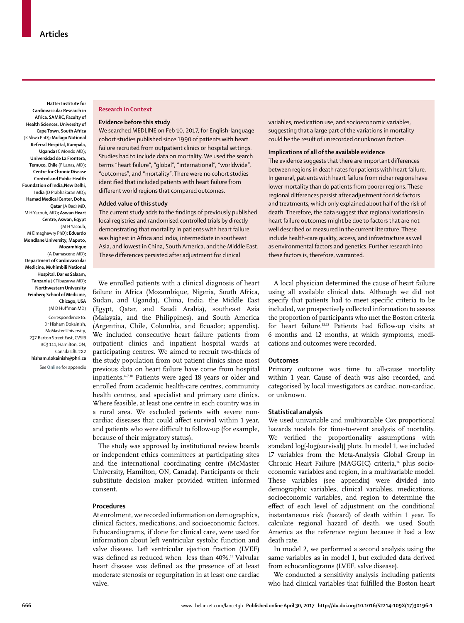**Hatter Institute for Cardiovascular Research in Africa, SAMRC, Faculty of Health Sciences, University of Cape Town, South Africa** (K Sliwa PhD)**; Mulago National Referral Hospital, Kampala, Uganda** (C Mondo MD)**; Universidad de La Frontera, Temuco, Chile** (F Lanas, MD)**; Centre for Chronic Disease Control and Public Health Foundation of India,New Delhi, India** (D Prabhakaran MD)**; Hamad Medical Center, Doha, Qatar** (A Badr MD, M HYacoub, MD)**; Aswan Heart Centre, Aswan, Egypt** (M H Yacoub, M Elmaghawry PhD)**; Eduardo Mondlane University, Maputo, Mozambique**  (A Damasceno MD)**;** 

**Department of Cardiovascular Medicine, Muhimbili National Hospital, Dar es Salaam, Tanzania** (K Tibazarwa MD)**; Northwestern University Feinberg School of Medicine, Chicago, USA**  (M D Huffman MD)

Correspondence to: Dr Hisham Dokainish, McMaster University, 237 Barton Street East, CVSRI #C3 111, Hamilton, ON, Canada L8L 2X2 **hisham.dokainish@phri.ca** See**Online** for appendix

### **Research in Context**

#### **Evidence before this study**

We searched MEDLINE on Feb 10, 2017, for English-language cohort studies published since 1990 of patients with heart failure recruited from outpatient clinics or hospital settings. Studies had to include data on mortality. We used the search terms "heart failure", "global", "international", "worldwide", "outcomes", and "mortality". There were no cohort studies identified that included patients with heart failure from different world regions that compared outcomes.

## **Added value of this study**

The current study adds to the findings of previously published local registries and randomised controlled trials by directly demonstrating that mortality in patients with heart failure was highest in Africa and India, intermediate in southeast Asia, and lowest in China, South America, and the Middle East. These differences persisted after adjustment for clinical

variables, medication use, and socioeconomic variables, suggesting that a large part of the variations in mortality could be the result of unrecorded or unknown factors.

## **Implications of all of the available evidence**

The evidence suggests that there are important differences between regions in death rates for patients with heart failure. In general, patients with heart failure from richer regions have lower mortality than do patients from poorer regions. These regional differences persist after adjustment for risk factors and treatments, which only explained about half of the risk of death. Therefore, the data suggest that regional variations in heart failure outcomes might be due to factors that are not well described or measured in the current literature. These include health-care quality, access, and infrastructure as well as environmental factors and genetics. Further research into these factors is, therefore, warranted.

We enrolled patients with a clinical diagnosis of heart failure in Africa (Mozambique, Nigeria, South Africa, Sudan, and Uganda), China, India, the Middle East (Egypt, Qatar, and Saudi Arabia), southeast Asia (Malaysia, and the Philippines), and South America (Argentina, Chile, Colombia, and Ecuador; appendix). We included consecutive heart failure patients from outpatient clinics and inpatient hospital wards at participating centres. We aimed to recruit two-thirds of the study population from out patient clinics since most previous data on heart failure have come from hospital inpatients.<sup>4-7,10</sup> Patients were aged 18 years or older and enrolled from academic health-care centres, community health centres, and specialist and primary care clinics. Where feasible, at least one centre in each country was in a rural area. We excluded patients with severe noncardiac diseases that could affect survival within 1 year, and patients who were difficult to follow-up (for example, because of their migratory status).

The study was approved by institutional review boards or independent ethics committees at participating sites and the international coordinating centre (McMaster University, Hamilton, ON, Canada). Participants or their substitute decision maker provided written informed consent.

## **Procedures**

At enrolment, we recorded information on demographics, clinical factors, medications, and socioeconomic factors. Echocardiograms, if done for clinical care, were used for information about left ventricular systolic function and valve disease. Left ventricular ejection fraction (LVEF) was defined as reduced when less than 40%.<sup>11</sup> Valvular heart disease was defined as the presence of at least moderate stenosis or regurgitation in at least one cardiac valve.

A local physician determined the cause of heart failure using all available clinical data. Although we did not specify that patients had to meet specific criteria to be included, we prospectively collected information to assess the proportion of participants who met the Boston criteria for heart failure.12,13 Patients had follow-up visits at 6 months and 12 months, at which symptoms, medications and outcomes were recorded.

#### **Outcomes**

Primary outcome was time to all-cause mortality within 1 year. Cause of death was also recorded, and categorised by local investigators as cardiac, non-cardiac, or unknown.

#### **Statistical analysis**

We used univariable and multivariable Cox proportional hazards models for time-to-event analysis of mortality. We verified the proportionality assumptions with standard log[-log(survival)] plots. In model 1, we included 17 variables from the Meta-Analysis Global Group in Chronic Heart Failure (MAGGIC) criteria,<sup>14</sup> plus socioeconomic variables and region, in a multivariable model. These variables (see appendix) were divided into demographic variables, clinical variables, medications, socioeconomic variables, and region to determine the effect of each level of adjustment on the conditional instantaneous risk (hazard) of death within 1 year. To calculate regional hazard of death, we used South America as the reference region because it had a low death rate.

In model 2, we performed a second analysis using the same variables as in model 1, but excluded data derived from echocardiograms (LVEF, valve disease).

We conducted a sensitivity analysis including patients who had clinical variables that fulfilled the Boston heart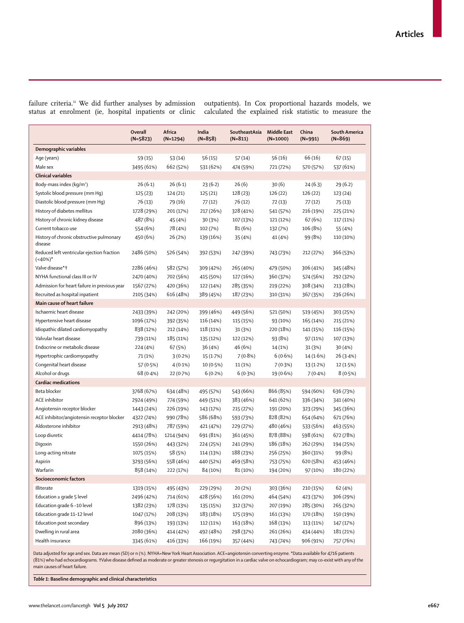failure criteria.11 We did further analyses by admission status at enrolment (ie, hospital inpatients or clinic outpatients). In Cox proportional hazards models, we calculated the explained risk statistic to measure the

|                                                          | Overall<br>$(N=5823)$ | Africa<br>$(N=1294)$ | India<br>$(N=858)$ | SoutheastAsia<br>$(N=811)$ | <b>Middle East</b><br>$(N=1000)$ | China<br>$(N=991)$ | South America<br>$(N=869)$ |
|----------------------------------------------------------|-----------------------|----------------------|--------------------|----------------------------|----------------------------------|--------------------|----------------------------|
| Demographic variables                                    |                       |                      |                    |                            |                                  |                    |                            |
| Age (years)                                              | 59(15)                | 53(14)               | 56(15)             | 57(14)                     | 56 (16)                          | 66 (16)            | 67(15)                     |
| Male sex                                                 | 3495 (61%)            | 662 (52%)            | 531 (62%)          | 474 (59%)                  | 721 (72%)                        | 570 (57%)          | 537 (61%)                  |
| <b>Clinical variables</b>                                |                       |                      |                    |                            |                                  |                    |                            |
| Body-mass index (kg/m <sup>2</sup> )                     | 26(6.1)               | 26(6.1)              | 23(6.2)            | 26(6)                      | 30(6)                            | 24(6.3)            | 29(6.2)                    |
| Systolic blood pressure (mm Hq)                          | 125(23)               | 124 (21)             | 125 (21)           | 128 (23)                   | 126 (22)                         | 126 (22)           | 123 (24)                   |
| Diastolic blood pressure (mm Hq)                         | 76 (13)               | 79 (16)              | 77(12)             | 76 (12)                    | 72(13)                           | 77 (12)            | 75(13)                     |
| History of diabetes mellitus                             | 1728 (29%)            | 201 (17%)            | 217 (26%)          | 328 (41%)                  | 541 (57%)                        | 216 (19%)          | 225 (21%)                  |
| History of chronic kidney disease                        | 487 (8%)              | 45 (4%)              | 30 (3%)            | 107 (13%)                  | 121 (12%)                        | 67 (6%)            | 117 (11%)                  |
| Current tobacco use                                      | 554 (6%)              | 78 (4%)              | 102 (7%)           | 81 (6%)                    | 132 (7%)                         | 106 (8%)           | 55 (4%)                    |
| History of chronic obstructive pulmonary<br>disease      | 450 (6%)              | 26 (2%)              | 139 (16%)          | 35 (4%)                    | 41 (4%)                          | 99 (8%)            | 110 (10%)                  |
| Reduced left ventricular ejection fraction<br>$(40\%)^*$ | 2486 (50%)            | 526 (54%)            | 392 (53%)          | 247 (39%)                  | 743 (73%)                        | 212 (27%)          | 366 (53%)                  |
| Valve disease*†                                          | 2286 (46%)            | 582 (57%)            | 309 (42%)          | 265 (40%)                  | 479 (50%)                        | 306 (41%)          | 345 (48%)                  |
| NYHA functional class III or IV                          | 2470 (40%)            | 702 (56%)            | 415 (50%)          | 127 (16%)                  | 360 (37%)                        | 574 (56%)          | 292 (32%)                  |
| Admission for heart failure in previous year             | 1567 (27%)            | 420 (36%)            | 122 (14%)          | 285 (35%)                  | 219 (22%)                        | 308 (34%)          | 213 (28%)                  |
| Recruited as hospital inpatient                          | 2105 (34%)            | 616 (48%)            | 389 (45%)          | 187 (23%)                  | 310 (31%)                        | 367 (35%)          | 236 (26%)                  |
| Main cause of heart failure                              |                       |                      |                    |                            |                                  |                    |                            |
| Ischaemic heart disease                                  | 2433 (39%)            | 242 (20%)            | 399 (46%)          | 449 (56%)                  | 521 (50%)                        | 519 (45%)          | 303 (25%)                  |
| Hypertensive heart disease                               | 1096 (17%)            | 392 (35%)            | 116 (14%)          | 115 (15%)                  | 93 (10%)                         | 165 (14%)          | 215 (21%)                  |
| Idiopathic dilated cardiomyopathy                        | 838 (12%)             | 212 (14%)            | 118 (11%)          | 31 (3%)                    | 220 (18%)                        | 141 (15%)          | 116 (15%)                  |
| Valvular heart disease                                   | 739 (11%)             | 185 (11%)            | 135 (12%)          | 122 (12%)                  | 93 (8%)                          | 97 (11%)           | 107 (13%)                  |
| Endocrine or metabolic disease                           | 224 (4%)              | 67 (5%)              | 36 (4%)            | 46 (6%)                    | 14 (1%)                          | 31 (3%)            | 30 (4%)                    |
| Hypertrophic cardiomyopathy                              | 71 (1%)               | 3(0.2%)              | 15(1.7%)           | $7(0.8\%)$                 | 6(0.6%)                          | 14(1.6%)           | 26(3.4%)                   |
| Congenital heart disease                                 | 57 (0.5%)             | $4(0.1\%)$           | 10 (0.5%)          | 11 (1%)                    | 7(0.3%)                          | 13 (1.2%)          | 12(1.5%)                   |
| Alcohol or drugs                                         | 68 (0.4%)             | 22 (0.7%)            | 6(0.2%)            | 6(0.3%)                    | 19 (0.6%)                        | 7(0.4%)            | 8(0.5%)                    |
| <b>Cardiac medications</b>                               |                       |                      |                    |                            |                                  |                    |                            |
| Beta blocker                                             | 3768 (67%)            | 634 (48%)            | 495 (57%)          | 543 (66%)                  | 866 (85%)                        | 594 (60%)          | 636 (73%)                  |
| ACE inhibitor                                            | 2924 (49%)            | 774 (59%)            | 449 (51%)          | 383 (46%)                  | 641 (62%)                        | 336 (34%)          | 341 (40%)                  |
| Angiotensin receptor blocker                             | 1443 (24%)            | 226 (19%)            | 143 (17%)          | 215 (27%)                  | 191 (20%)                        | 323 (29%)          | 345 (36%)                  |
| ACE inhibitor/angiotensin receptor blocker               | 4322 (74%)            | 990 (78%)            | 586 (68%)          | 593 (73%)                  | 828 (82%)                        | 654 (64%)          | 671 (76%)                  |
| Aldosterone inhibitor                                    | 2913 (48%)            | 787 (59%)            | 421 (47%)          | 229 (27%)                  | 480 (46%)                        | 533 (56%)          | 463 (55%)                  |
| Loop diuretic                                            | 4414 (78%)            | 1214 (94%)           | 691 (81%)          | 361 (45%)                  | 878 (88%)                        | 598 (61%)          | 672 (78%)                  |
| Digoxin                                                  | 1550 (26%)            | 443 (32%)            | 224 (25%)          | 241 (29%)                  | 186 (18%)                        | 262 (29%)          | 194 (25%)                  |
| Long-acting nitrate                                      | 1075 (15%)            | 58 (5%)              | 114 (13%)          | 188 (23%)                  | 256 (25%)                        | 360 (31%)          | 99 (8%)                    |
| Aspirin                                                  | 3293 (56%)            | 558 (46%)            | 440 (52%)          | 469 (58%)                  | 753 (75%)                        | 620 (58%)          | 453 (46%)                  |
| Warfarin                                                 | 858 (14%)             | 222 (17%)            | 84 (10%)           | 81 (10%)                   | 194 (20%)                        | 97 (10%)           | 180 (22%)                  |
| Socioeconomic factors                                    |                       |                      |                    |                            |                                  |                    |                            |
| Illiterate                                               | 1319 (15%)            | 495 (43%)            | 229 (29%)          | 20 (2%)                    | 303 (36%)                        | 210 (15%)          | 62 (4%)                    |
| Education $\ge$ grade 5 level                            | 2496 (42%)            | 714 (61%)            | 428 (56%)          | 161 (20%)                  | 464 (54%)                        | 423 (37%)          | 306 (29%)                  |
| Education grade 6-10 level                               | 1382 (23%)            | 178 (13%)            | 135 (15%)          | 312 (37%)                  | 207 (19%)                        | 285 (30%)          | 265 (32%)                  |
| Education grade 11-12 level                              | 1047 (17%)            | 208 (13%)            | 183 (18%)          | 175 (19%)                  | 161 (13%)                        | 170 (18%)          | 150 (19%)                  |
| Education post secondary                                 | 896 (13%)             | 193 (13%)            | 112 (11%)          | 163 (18%)                  | 168 (13%)                        | 113 (11%)          | 147 (17%)                  |
| Dwelling in rural area                                   | 2080 (36%)            | 414 (42%)            | 492 (48%)          | 298 (37%)                  | 261 (26%)                        | 434 (44%)          | 181 (21%)                  |
| Health insurance                                         | 3345 (61%)            | 416 (33%)            | 166 (19%)          | 357 (44%)                  | 743 (74%)                        | 906 (91%)          | 757 (76%)                  |

Data adjusted for age and sex. Data are mean (SD) or n (%). NYHA=New York Heart Association. ACE=angiotensin converting enzyme. **\***Data available for 4716 patients (81%) who had echocardiograms. **†**Valve disease defined as moderate or greater stenosis or regurgitation in a cardiac valve on echocardiogram; may co-exist with any of the main causes of heart failure.

*Table 1***: Baseline demographic and clinical characteristics**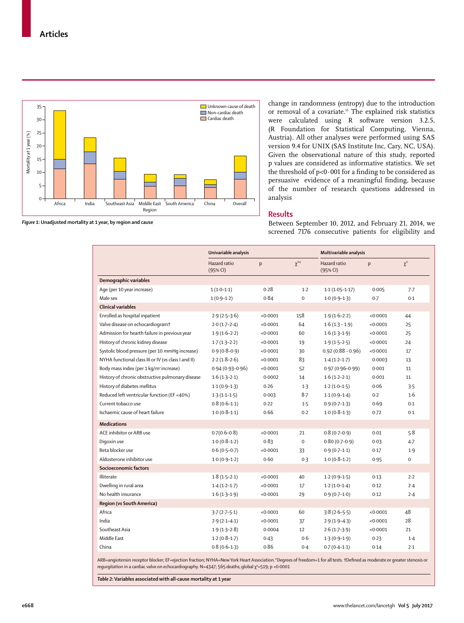

*Figure 1***: Unadjusted mortality at 1 year, by region and cause**

change in randomness (entropy) due to the introduction or removal of a covariate.15 The explained risk statistics were calculated using R software version 3.2.5, (R Foundation for Statistical Computing, Vienna, Austria). All other analyses were performed using SAS version 9.4 for UNIX (SAS Institute Inc, Cary, NC, USA). Given the observational nature of this study, reported p values are considered as informative statistics. We set the threshold of p<0·001 for a finding to be considered as persuasive evidence of a meaningful finding, because of the number of research questions addressed in analysis

## **Results**

Between September 10, 2012, and February 21, 2014, we screened 7176 consecutive patients for eligibility and

|                                                     | Univariable analysis     |          |             | Multivariable analysis   |          |             |
|-----------------------------------------------------|--------------------------|----------|-------------|--------------------------|----------|-------------|
|                                                     | Hazard ratio<br>(95% CI) | p        | $\chi^{2*}$ | Hazard ratio<br>(95% CI) | p        | $\chi^2$    |
| Demographic variables                               |                          |          |             |                          |          |             |
| Age (per 10 year increase)                          | $1(1.0-1.1)$             | 0.28     | $1-2$       | $1.1(1.05-1.17)$         | 0.005    | 7.7         |
| Male sex                                            | $1(0.9-1.2)$             | 0.84     | $\mathbf 0$ | $1.0(0.9-1.3)$           | 0.7      | 0.1         |
| <b>Clinical variables</b>                           |                          |          |             |                          |          |             |
| Enrolled as hospital inpatient                      | $2.9(2.5-3.6)$           | < 0.0001 | 158         | $1.9(1.6-2.2)$           | < 0.0001 | 44          |
| Valve disease on echocardiogram <sup>+</sup>        | $2.0(1.7-2.4)$           | < 0.0001 | 64          | $1.6(1.3 - 1.9)$         | < 0.0001 | 25          |
| Admission for hearth failure in previous year       | $1.9(1.6-2.2)$           | < 0.0001 | 60          | $1.6(1.3-1.9)$           | < 0.0001 | 25          |
| History of chronic kidney disease                   | $1.7(1.3-2.2)$           | < 0.0001 | 19          | $1.9(1.5-2.5)$           | < 0.0001 | 24          |
| Systolic blood pressure (per 10 mmHq increase)      | $0.9(0.8-0.9)$           | < 0.0001 | 30          | $0.92(0.88 - 0.96)$      | < 0.0001 | 17          |
| NYHA functional class III or IV (vs class I and II) | $2.2(1.8-2.6)$           | < 0.0001 | 83          | $1.4(1.2-1.7)$           | 0.0003   | 13          |
| Body mass index (per 1 kg/m <sup>2</sup> increase)  | $0.94(0.93 - 0.96)$      | < 0.0001 | 52          | $0.97(0.96 - 0.99)$      | 0.001    | 11          |
| History of chronic obstructive pulmonary disease    | $1.6(1.3-2.1)$           | 0.0002   | 14          | $1.6(1.2-2.1)$           | 0.001    | 11          |
| History of diabetes mellitus                        | $1.1(0.9-1.3)$           | 0.26     | $1-3$       | $1.2(1.0-1.5)$           | 0.06     | 3.5         |
| Reduced left ventricular function (EF <40%)         | $1.3(1.1-1.5)$           | 0.003    | $8-7$       | $1.1(0.9-1.4)$           | 0.2      | 1.6         |
| Current tobacco use                                 | $0.8(0.6-1.1)$           | 0.22     | 1.5         | $0.9(0.7-1.3)$           | 0.69     | 0.1         |
| Ischaemic cause of heart failure                    | $1.0(0.8-1.1)$           | 0.66     | 0.2         | $1.0(0.8-1.3)$           | 0.72     | 0.1         |
| <b>Medications</b>                                  |                          |          |             |                          |          |             |
| ACE inhibitor or ARB use                            | $0.7(0.6-0.8)$           | < 0.0001 | 21          | $0.8(0.7-0.9)$           | 0.01     | 5.8         |
| Digoxin use                                         | $1.0(0.8-1.2)$           | 0.83     | $\mathbf 0$ | $0.80(0.7-0.9)$          | 0.03     | $4 - 7$     |
| Beta blocker use                                    | $0.6(0.5-0.7)$           | < 0.0001 | 33          | $0.9(0.7-1.1)$           | 0.17     | 1.9         |
| Aldosterone inhibitor use                           | $1.0(0.9-1.2)$           | 0.60     | 0.3         | $1.0(0.8-1.2)$           | 0.95     | $\mathbf 0$ |
| Socioeconomic factors                               |                          |          |             |                          |          |             |
| Illiterate                                          | $1.8(1.5-2.1)$           | < 0.0001 | 40          | $1.2(0.9-1.5)$           | 0.13     | 2.2         |
| Dwelling in rural area                              | $1.4(1.2-1.7)$           | < 0.0001 | 17          | $1.2(1.0-1.4)$           | 0.12     | 2.4         |
| No health insurance                                 | $1.6(1.3-1.9)$           | < 0.0001 | 29          | $0.9(0.7-1.0)$           | 0.12     | 2.4         |
| Region (vs South America)                           |                          |          |             |                          |          |             |
| Africa                                              | $3.7(2.7-5.1)$           | < 0.0001 | 60          | $3.8(2.6-5.5)$           | < 0.0001 | 48          |
| India                                               | $2.9(2.1 - 4.1)$         | < 0.0001 | 37          | $2.9(1.9-4.3)$           | < 0.0001 | 28          |
| Southeast Asia                                      | $1.9(1.3-2.8)$           | 0.0004   | 12          | $2.6(1.7-3.9)$           | < 0.0001 | 21          |
| Middle East                                         | $1.2(0.8-1.7)$           | 0.43     | 0.6         | $1.3(0.9-1.9)$           | 0.23     | $1-4$       |
| China                                               | $0.8(0.6-1.3)$           | 0.86     | 0.4         | $0.7(0.4-1.1)$           | 0.14     | 2.1         |

ARB=angiotensin receptor blocker; EF=ejection fraction; NYHA=New York Heart Association.\*Degrees of freedom=1 for all tests. **†**Defined as moderate or greater stenosis or regurgitation in a cardiac valve on echocardiography. N=4347; 565 deaths; global χ<sup>2</sup>=519; p <0·0001

*Table 2***: Variables associated with all-cause mortality at 1 year**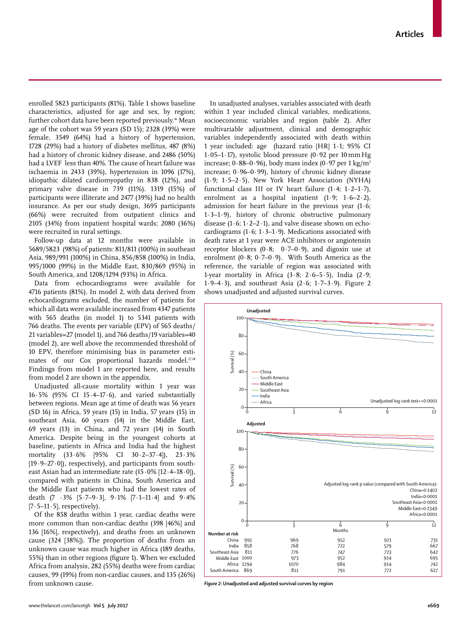enrolled 5823 participants (81%). Table 1 shows baseline characteristics, adjusted for age and sex, by region; further cohort data have been reported previously.<sup>16</sup> Mean age of the cohort was 59 years (SD 15); 2328 (39%) were female, 3549 (64%) had a history of hypertension, 1728 (29%) had a history of diabetes mellitus, 487 (8%) had a history of chronic kidney disease, and 2486 (50%) had a LVEF less than 40%. The cause of heart failure was ischaemia in 2433 (39%), hypertension in 1096 (17%), idiopathic dilated cardiomyopathy in 838 (12%), and primary valve disease in 739 (11%). 1319 (15%) of participants were illiterate and 2477 (39%) had no health insurance. As per our study design, 3695 participants (66%) were recruited from outpatient clinics and 2105 (34%) from inpatient hospital wards; 2080 (36%) were recruited in rural settings.

Follow-up data at 12 months were available in 5689/5823 (98%) of patients: 811/811 (100%) in southeast Asia, 989/991 (100%) in China, 856/858 (100%) in India, 995/1000 (99%) in the Middle East, 830/869 (95%) in South America, and 1208/1294 (93%) in Africa.

Data from echocardiograms were available for 4716 patients (81%). In model 2, with data derived from echocardiograms excluded, the number of patients for which all data were available increased from 4347 patients with 565 deaths (in model 1) to 5341 patients with 766 deaths. The events per variable (EPV) of 565 deaths/ 21 variables=27 (model 1), and 766 deaths/19 variables=40 (model 2), are well above the recommended threshold of 10 EPV, therefore minimising bias in parameter estimates of our  $Cox$  proportional hazards model.<sup>17,18</sup> Findings from model 1 are reported here, and results from model 2 are shown in the appendix.

Unadjusted all-cause mortality within 1 year was  $16.5\%$  (95% CI 15.4-17.6), and varied substantially between regions. Mean age at time of death was 56 years (SD 16) in Africa, 59 years (15) in India, 57 years (15) in southeast Asia, 60 years (14) in the Middle East, 69 years (13) in China, and 72 years (14) in South America. Despite being in the youngest cohorts at baseline, patients in Africa and India had the highest mortality (33·6% [95% CI 30·2–37·4]), 23·3%  $[19.9-27.0]$ , respectively), and participants from southeast Asian had an intermediate rate (15·0% [12·4–18·0]), compared with patients in China, South America and the Middle East patients who had the lowest rates of death (7 ·3% [5·7–9·3], 9·1% [7·1–11·4] and 9·4%  $[7.5-11.5]$ , respectively).

Of the 858 deaths within 1 year, cardiac deaths were more common than non-cardiac deaths (398 [46%] and 136 [16%], respectively), and deaths from an unknown cause (324 [38%]). The proportion of deaths from an unknown cause was much higher in Africa (189 deaths, 55%) than in other regions (figure 1). When we excluded Africa from analysis, 282 (55%) deaths were from cardiac causes, 99 (19%) from non-cardiac causes, and 135 (26%) from unknown cause.

In unadjusted analyses, variables associated with death within 1 year included clinical variables, medications, socioeconomic variables and region (table 2). After multivariable adjustment, clinical and demographic variables independently associated with death within 1 year included: age (hazard ratio [HR] 1·1; 95% CI 1·05–1·17), systolic blood pressure (0·92 per 10mmHg increase;  $0.88-0.96$ ), body mass index  $(0.97 \text{ per } 1 \text{ kg/m}^2)$ increase; 0·96–0·99), history of chronic kidney disease (1·9; 1·5–2·5), New York Heart Association (NYHA) functional class III or IV heart failure (1·4; 1·2–1·7), enrolment as a hospital inpatient  $(1.9; 1.6-2.2)$ , admission for heart failure in the previous year  $(1.6;$ 1·3–1·9), history of chronic obstructive pulmonary disease (1 $\cdot$  6; 1 $\cdot$  2-2 $\cdot$ 1), and valve disease shown on echocardiograms (1 $\cdot$ 6; 1 $\cdot$ 3-1 $\cdot$ 9). Medications associated with death rates at 1 year were ACE inhibitors or angiotensin receptor blockers  $(0.8; 0.7-0.9)$ , and digoxin use at enrolment (0 $\cdot$ 8; 0 $\cdot$ 7-0 $\cdot$ 9). With South America as the reference, the variable of region was associated with 1-year mortality in Africa  $(3.8; 2.6-5.5)$ , India  $(2.9;$ 1·9–4·3), and southeast Asia (2·6; 1·7–3·9). Figure 2 shows unadjusted and adjusted survival curves.



*Figure 2***: Unadjusted and adjusted survival curves by region**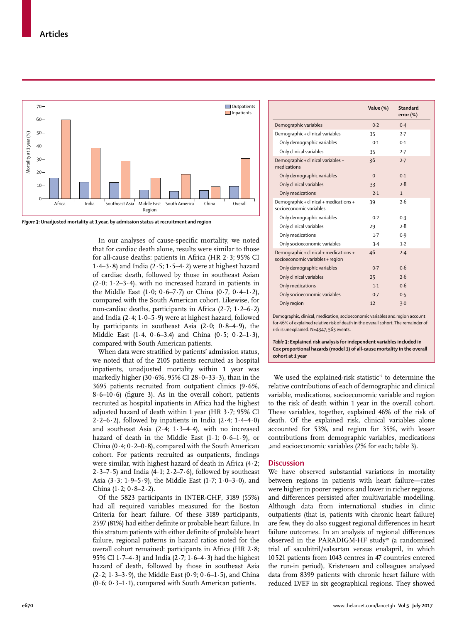

*Figure 3***: Unadjusted mortality at 1 year, by admission status at recruitment and region**

In our analyses of cause-specific mortality, we noted that for cardiac death alone, results were similar to those for all-cause deaths: patients in Africa (HR 2·3; 95% CI 1·4–3·8) and India (2·5; 1·5–4·2) were at highest hazard of cardiac death, followed by those in southeast Asian  $(2.0; 1.2-3.4)$ , with no increased hazard in patients in the Middle East  $(1.0; 0.6–7.7)$  or China  $(0.7, 0.4–1.2)$ , compared with the South American cohort. Likewise, for non-cardiac deaths, participants in Africa  $(2\cdot7; 1\cdot2-6\cdot2)$ and India (2·4; 1·0–5·9) were at highest hazard, followed by participants in southeast Asia  $(2.0; 0.8-4.9)$ , the Middle East  $(1.4, 0.6-3.4)$  and China  $(0.5, 0.2-1.3)$ , compared with South American patients.

When data were stratified by patients' admission status, we noted that of the 2105 patients recruited as hospital inpatients, unadjusted mortality within 1 year was markedly higher (30 $\cdot$  6%, 95% CI 28 $\cdot$ 0-33 $\cdot$ 3), than in the 3695 patients recruited from outpatient clinics (9·6%, 8·6–10·6) (figure 3). As in the overall cohort, patients recruited as hospital inpatients in Africa had the highest adjusted hazard of death within 1 year (HR 3·7; 95% CI  $2·2–6·2$ ), followed by inpatients in India (2·4;  $1·4–4·0$ ) and southeast Asia  $(2.4; 1.3-4.4)$ , with no increased hazard of death in the Middle East  $(1\cdot 1; 0\cdot 6-1\cdot 9)$ , or China (0 $\cdot$ 4; 0 $\cdot$ 2-0 $\cdot$ 8), compared with the South American cohort. For patients recruited as outpatients, findings were similar, with highest hazard of death in Africa (4·2;  $2.3-7.5$ ) and India (4.1;  $2.2-7.6$ ), followed by southeast Asia (3 $\cdot$ 3; 1 $\cdot$ 9-5 $\cdot$ 9), the Middle East (1 $\cdot$ 7; 1 $\cdot$ 0-3 $\cdot$ 0), and China  $(1.2; 0.8-2.2)$ .

Of the 5823 participants in INTER-CHF, 3189 (55%) had all required variables measured for the Boston Criteria for heart failure. Of these 3189 participants, 2597 (81%) had either definite or probable heart failure. In this stratum patients with either definite of probable heart failure, regional patterns in hazard ratios noted for the overall cohort remained: participants in Africa (HR 2·8; 95% CI 1·7–4·3) and India (2·7; 1·6–4·3) had the highest hazard of death, followed by those in southeast Asia  $(2.2; 1.3-3.9)$ , the Middle East  $(0.9; 0.6-1.5)$ , and China  $(0.6; 0.3-1.1)$ , compared with South American patients.

|                                                                            | Value (%) | Standard<br>error (%) |
|----------------------------------------------------------------------------|-----------|-----------------------|
| Demographic variables                                                      | 0.2       | 0.4                   |
| Demographic + clinical variables                                           | 35        | 2.7                   |
| Only demographic variables                                                 | 0.1       | 0.1                   |
| Only clinical variables                                                    | 35        | 2.7                   |
| Demographic + clinical variables +<br>medications                          | 36        | 2.7                   |
| Only demographic variables                                                 | $\Omega$  | 0.1                   |
| Only clinical variables                                                    | 33        | 2.8                   |
| Only medications                                                           | 7.1       | $\mathbf{1}$          |
| Demographic + clinical + medications +<br>socioeconomic variables          | 39        | 2.6                   |
| Only demographic variables                                                 | 0.2       | 0.3                   |
| Only clinical variables                                                    | 29        | 7.8                   |
| Only medications                                                           | $1-7$     | 0.9                   |
| Only socioeconomic variables                                               | 3.4       | 1.2                   |
| Demographic + clinical + medications +<br>socioeconomic variables + region | 46        | 2.4                   |
| Only demographic variables                                                 | 0.7       | 0.6                   |
| Only clinical variables                                                    | 25        | 7.6                   |
| Only medications                                                           | 1.1       | 0.6                   |
| Only socioeconomic variables                                               | 0.7       | 0.5                   |
| Only region                                                                | 12        | 3.0                   |

Demographic, clinical, medication, socioeconomic variables and region account for 46% of explained relative risk of death in the overall cohort. The remainder of risk is unexplained. N=4347; 565 events**.**

*Table 3***: Explained risk analysis for independent variables included in Cox proportional hazards (model 1) of all-cause mortality in the overall cohort at 1 year**

We used the explained-risk statistic<sup>15</sup> to determine the relative contributions of each of demographic and clinical variable, medications, socioeconomic variable and region to the risk of death within 1 year in the overall cohort. These variables, together, explained 46% of the risk of death. Of the explained risk, clinical variables alone accounted for 53%, and region for 35%, with lesser contributions from demographic variables, medications ,and socioeconomic variables (2% for each; table 3).

## **Discussion**

We have observed substantial variations in mortality between regions in patients with heart failure—rates were higher in poorer regions and lower in richer regions, and differences persisted after multivariable modelling. Although data from international studies in clinic outpatients (that is, patients with chronic heart failure) are few, they do also suggest regional differences in heart failure outcomes. In an analysis of regional differences observed in the PARADIGM-HF study<sup>19</sup> (a randomised trial of sacubitril/valsartan versus enalapril, in which 10521 patients from 1043 centres in 47 countries entered the run-in period), Kristensen and colleagues analysed data from 8399 patients with chronic heart failure with reduced LVEF in six geographical regions. They showed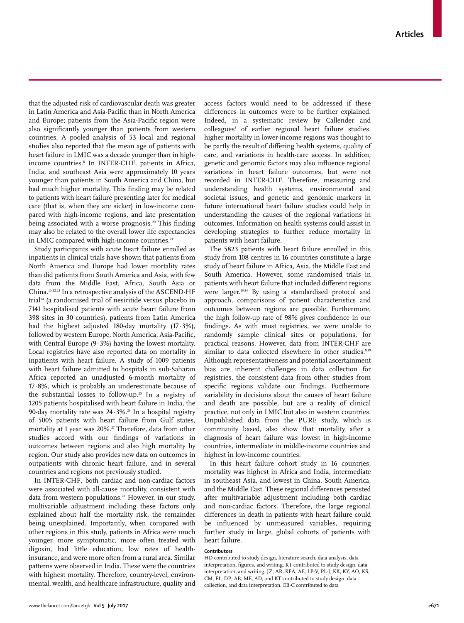that the adjusted risk of cardiovascular death was greater in Latin America and Asia-Pacific than in North America and Europe; patients from the Asia-Pacific region were also significantly younger than patients from western countries. A pooled analysis of 53 local and regional studies also reported that the mean age of patients with heart failure in LMIC was a decade younger than in highincome countries.8 In INTER-CHF, patients in Africa, India, and southeast Asia were approximately 10 years younger than patients in South America and China, but had much higher mortality. This finding may be related to patients with heart failure presenting later for medical care (that is, when they are sicker) in low-income compared with high-income regions, and late presentation being associated with a worse prognosis.<sup>20</sup> This finding may also be related to the overall lower life expectancies in LMIC compared with high-income countries.<sup>21</sup>

Study participants with acute heart failure enrolled as inpatients in clinical trials have shown that patients from North America and Europe had lower mortality rates than did patients from South America and Asia, with few data from the Middle East, Africa, South Asia or China.10,22,23 In a retrospective analysis of the ASCEND-HF trial<sup>24</sup> (a randomised trial of nesiritide versus placebo in 7141 hospitalised patients with acute heart failure from 398 sites in 30 countries), patients from Latin America had the highest adjusted 180-day mortality (17·3%), followed by western Europe, North America, Asia-Pacific, with Central Europe (9·3%) having the lowest mortality. Local registries have also reported data on mortality in inpatients with heart failure. A study of 1009 patients with heart failure admitted to hospitals in sub-Saharan Africa reported an unadjusted 6-month mortality of 17·8%, which is probably an underestimate because of the substantial losses to follow-up.25 In a registry of 1205 patients hospitalised with heart failure in India, the 90-day mortality rate was  $24.3\%$ .<sup>26</sup> In a hospital registry of 5005 patients with heart failure from Gulf states, mortality at 1 year was 20%.<sup>27</sup> Therefore, data from other studies accord with our findings of variations in outcomes between regions and also high mortality by region. Our study also provides new data on outcomes in outpatients with chronic heart failure, and in several countries and regions not previously studied.

In INTER-CHF, both cardiac and non-cardiac factors were associated with all-cause mortality, consistent with data from western populations.<sup>28</sup> However, in our study, multivariable adjustment including these factors only explained about half the mortality risk, the remainder being unexplained. Importantly, when compared with other regions in this study, patients in Africa were much younger, more symptomatic, more often treated with digoxin, had little education, low rates of healthinsurance, and were more often from a rural area. Similar patterns were observed in India. These were the countries with highest mortality. Therefore, country-level, environmental, wealth, and healthcare infrastructure, quality and access factors would need to be addressed if these differences in outcomes were to be further explained. Indeed, in a systematic review by Callender and colleagues8 of earlier regional heart failure studies, higher mortality in lower-income regions was thought to be partly the result of differing health systems, quality of care, and variations in health-care access. In addition, genetic and genomic factors may also influence regional variations in heart failure outcomes, but were not recorded in INTER-CHF. Therefore, measuring and understanding health systems, environmental and societal issues, and genetic and genomic markers in future international heart failure studies could help in understanding the causes of the regional variations in outcomes. Information on health systems could assist in developing strategies to further reduce mortality in patients with heart failure.

The 5823 patients with heart failure enrolled in this study from 108 centres in 16 countries constitute a large study of heart failure in Africa, Asia, the Middle East and South America. However, some randomised trials in patients with heart failure that included different regions were larger.19,24 By using a standardised protocol and approach, comparisons of patient characteristics and outcomes between regions are possible. Furthermore, the high follow-up rate of 98% gives confidence in our findings. As with most registries, we were unable to randomly sample clinical sites or populations, for practical reasons. However, data from INTER-CHF are similar to data collected elsewhere in other studies.<sup>8,19</sup> Although representativeness and potential ascertainment bias are inherent challenges in data collection for registries, the consistent data from other studies from specific regions validate our findings. Furthermore, variability in decisions about the causes of heart failure and death are possible, but are a reality of clinical practice, not only in LMIC but also in western countries. Unpublished data from the PURE study, which is community based, also show that mortality after a diagnosis of heart failure was lowest in high-income countries, intermediate in middle-income countries and highest in low-income countries.

In this heart failure cohort study in 16 countries, mortality was highest in Africa and India, intermediate in southeast Asia, and lowest in China, South America, and the Middle East. These regional differences persisted after multivariable adjustment including both cardiac and non-cardiac factors. Therefore, the large regional differences in death in patients with heart failure could be influenced by unmeasured variables, requiring further study in large, global cohorts of patients with heart failure.

## **Contributors**

HD contributed to study design, literature search, data analysis, data interpretation, figures, and writing. KT contributed to study design, data interpretation, and writing. JZ, AR, KFA, AE, LP-V, PL-J, KK, KY, AO, KS, CM, FL, DP, AB, ME, AD, and KT contributed to study design, data collection, and data interpretation. EB-C contributed to data